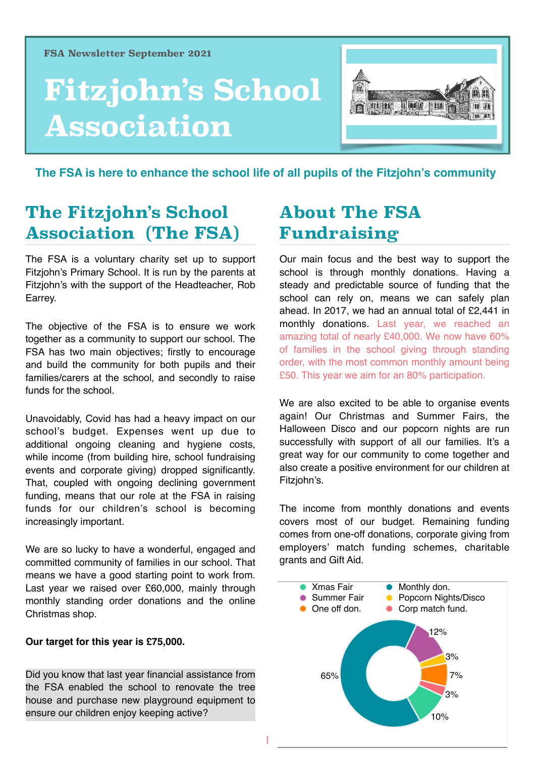# **Fitzjohn's School Association**



 **The FSA is here to enhance the school life of all pupils of the Fitzjohn's community**

## **The Fitzjohn's School Association (The FSA)**

The FSA is a voluntary charity set up to support Fitzjohn's Primary School. It is run by the parents at Fitzjohn's with the support of the Headteacher, Rob Earrey.

The objective of the FSA is to ensure we work together as a community to support our school. The FSA has two main objectives; firstly to encourage and build the community for both pupils and their families/carers at the school, and secondly to raise funds for the school.

Unavoidably, Covid has had a heavy impact on our school's budget. Expenses went up due to additional ongoing cleaning and hygiene costs, while income (from building hire, school fundraising events and corporate giving) dropped significantly. That, coupled with ongoing declining government funding, means that our role at the FSA in raising funds for our children's school is becoming increasingly important.

We are so lucky to have a wonderful, engaged and committed community of families in our school. That means we have a good starting point to work from. Last year we raised over £60,000, mainly through monthly standing order donations and the online Christmas shop.

#### **Our target for this year is £75,000.**

Did you know that last year financial assistance from the FSA enabled the school to renovate the tree house and purchase new playground equipment to ensure our children enjoy keeping active?

### **About The FSA Fundraising**

Our main focus and the best way to support the school is through monthly donations. Having a steady and predictable source of funding that the school can rely on, means we can safely plan ahead. In 2017, we had an annual total of £2,441 in monthly donations. Last year, we reached an amazing total of nearly £40,000. We now have 60% of families in the school giving through standing order, with the most common monthly amount being £50. This year we aim for an 80% participation.

We are also excited to be able to organise events again! Our Christmas and Summer Fairs, the Halloween Disco and our popcorn nights are run successfully with support of all our families. It's a great way for our community to come together and also create a positive environment for our children at Fitzjohn's.

The income from monthly donations and events covers most of our budget. Remaining funding comes from one-off donations, corporate giving from employers' match funding schemes, charitable grants and Gift Aid.